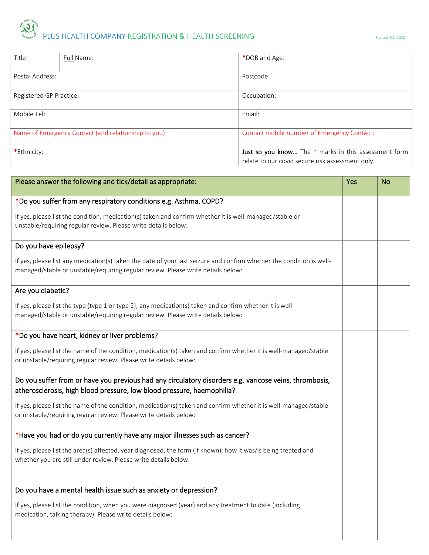# A PLUS HEALTH COMPANY REGISTRATION & HEALTH SCREENING Revised Feb 2022

| Title:                  | Full Name:                                           | *DOB and Age:                                                                                            |
|-------------------------|------------------------------------------------------|----------------------------------------------------------------------------------------------------------|
| Postal Address:         |                                                      | Postcode:                                                                                                |
| Registered GP Practice: |                                                      | Occupation:                                                                                              |
| Mobile Tel:             |                                                      | Email:                                                                                                   |
|                         | Name of Emergency Contact (and relationship to you): | Contact mobile number of Emergency Contact:                                                              |
| *Ethnicity:             |                                                      | Just so you know The * marks in this assessment form<br>relate to our covid secure risk assessment only. |

| Please answer the following and tick/detail as appropriate:                                                                                                                                              | Yes | <b>No</b> |
|----------------------------------------------------------------------------------------------------------------------------------------------------------------------------------------------------------|-----|-----------|
| *Do you suffer from any respiratory conditions e.g. Asthma, COPD?                                                                                                                                        |     |           |
| If yes, please list the condition, medication(s) taken and confirm whether it is well-managed/stable or<br>unstable/requiring regular review. Please write details below:                                |     |           |
| Do you have epilepsy?                                                                                                                                                                                    |     |           |
| If yes, please list any medication(s) taken the date of your last seizure and confirm whether the condition is well-<br>managed/stable or unstable/requiring regular review. Please write details below: |     |           |
| Are you diabetic?                                                                                                                                                                                        |     |           |
| If yes, please list the type (type 1 or type 2), any medication(s) taken and confirm whether it is well-<br>managed/stable or unstable/requiring regular review. Please write details below:             |     |           |
| *Do you have heart, kidney or liver problems?                                                                                                                                                            |     |           |
| If yes, please list the name of the condition, medication(s) taken and confirm whether it is well-managed/stable<br>or unstable/requiring regular review. Please write details below:                    |     |           |
| Do you suffer from or have you previous had any circulatory disorders e.g. varicose veins, thrombosis,<br>atherosclerosis, high blood pressure, low blood pressure, haemophilia?                         |     |           |
| If yes, please list the name of the condition, medication(s) taken and confirm whether it is well-managed/stable<br>or unstable/requiring regular review. Please write details below:                    |     |           |
| *Have you had or do you currently have any major illnesses such as cancer?                                                                                                                               |     |           |
| If yes, please list the area(s) affected, year diagnosed, the form (if known), how it was/is being treated and<br>whether you are still under review. Please write details below:                        |     |           |
| Do you have a mental health issue such as anxiety or depression?                                                                                                                                         |     |           |
| If yes, please list the condition, when you were diagnosed (year) and any treatment to date (including<br>medication, talking therapy). Please write details below:                                      |     |           |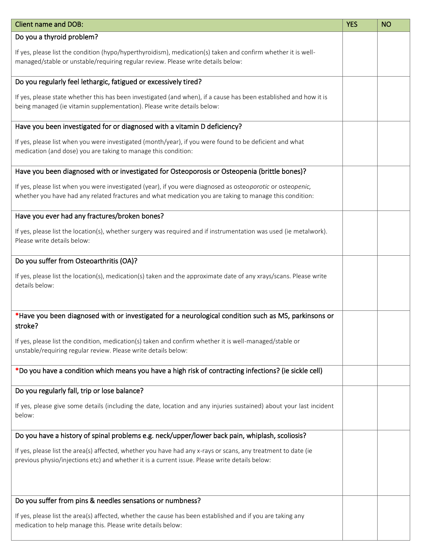| <b>Client name and DOB:</b>                                                                                                                                                                                            | <b>YES</b> | <b>NO</b> |
|------------------------------------------------------------------------------------------------------------------------------------------------------------------------------------------------------------------------|------------|-----------|
| Do you a thyroid problem?                                                                                                                                                                                              |            |           |
| If yes, please list the condition (hypo/hyperthyroidism), medication(s) taken and confirm whether it is well-<br>managed/stable or unstable/requiring regular review. Please write details below:                      |            |           |
| Do you regularly feel lethargic, fatigued or excessively tired?                                                                                                                                                        |            |           |
| If yes, please state whether this has been investigated (and when), if a cause has been established and how it is<br>being managed (ie vitamin supplementation). Please write details below:                           |            |           |
| Have you been investigated for or diagnosed with a vitamin D deficiency?                                                                                                                                               |            |           |
| If yes, please list when you were investigated (month/year), if you were found to be deficient and what<br>medication (and dose) you are taking to manage this condition:                                              |            |           |
| Have you been diagnosed with or investigated for Osteoporosis or Osteopenia (brittle bones)?                                                                                                                           |            |           |
| If yes, please list when you were investigated (year), if you were diagnosed as osteoporotic or osteopenic,<br>whether you have had any related fractures and what medication you are taking to manage this condition: |            |           |
| Have you ever had any fractures/broken bones?                                                                                                                                                                          |            |           |
| If yes, please list the location(s), whether surgery was required and if instrumentation was used (ie metalwork).<br>Please write details below:                                                                       |            |           |
| Do you suffer from Osteoarthritis (OA)?                                                                                                                                                                                |            |           |
| If yes, please list the location(s), medication(s) taken and the approximate date of any xrays/scans. Please write<br>details below:                                                                                   |            |           |
| *Have you been diagnosed with or investigated for a neurological condition such as MS, parkinsons or                                                                                                                   |            |           |
| stroke?                                                                                                                                                                                                                |            |           |
| If yes, please list the condition, medication(s) taken and confirm whether it is well-managed/stable or<br>unstable/requiring regular review. Please write details below:                                              |            |           |
| *Do you have a condition which means you have a high risk of contracting infections? (ie sickle cell)                                                                                                                  |            |           |
| Do you regularly fall, trip or lose balance?                                                                                                                                                                           |            |           |
| If yes, please give some details (including the date, location and any injuries sustained) about your last incident<br>below:                                                                                          |            |           |
| Do you have a history of spinal problems e.g. neck/upper/lower back pain, whiplash, scoliosis?                                                                                                                         |            |           |
| If yes, please list the area(s) affected, whether you have had any x-rays or scans, any treatment to date (ie<br>previous physio/injections etc) and whether it is a current issue. Please write details below:        |            |           |
|                                                                                                                                                                                                                        |            |           |
| Do you suffer from pins & needles sensations or numbness?                                                                                                                                                              |            |           |
| If yes, please list the area(s) affected, whether the cause has been established and if you are taking any<br>medication to help manage this. Please write details below:                                              |            |           |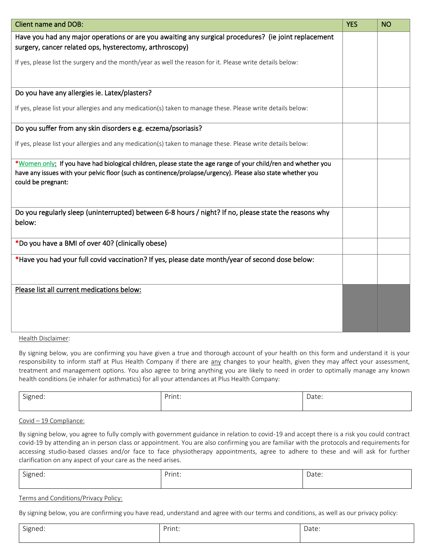| <b>Client name and DOB:</b>                                                                                                                                                                                                                         | <b>YES</b> | <b>NO</b> |
|-----------------------------------------------------------------------------------------------------------------------------------------------------------------------------------------------------------------------------------------------------|------------|-----------|
| Have you had any major operations or are you awaiting any surgical procedures? (ie joint replacement<br>surgery, cancer related ops, hysterectomy, arthroscopy)                                                                                     |            |           |
| If yes, please list the surgery and the month/year as well the reason for it. Please write details below:                                                                                                                                           |            |           |
| Do you have any allergies ie. Latex/plasters?                                                                                                                                                                                                       |            |           |
| If yes, please list your allergies and any medication(s) taken to manage these. Please write details below:                                                                                                                                         |            |           |
| Do you suffer from any skin disorders e.g. eczema/psoriasis?                                                                                                                                                                                        |            |           |
| If yes, please list your allergies and any medication(s) taken to manage these. Please write details below:                                                                                                                                         |            |           |
| *Women only: If you have had biological children, please state the age range of your child/ren and whether you<br>have any issues with your pelvic floor (such as continence/prolapse/urgency). Please also state whether you<br>could be pregnant: |            |           |
| Do you regularly sleep (uninterrupted) between 6-8 hours / night? If no, please state the reasons why<br>below:                                                                                                                                     |            |           |
| *Do you have a BMI of over 40? (clinically obese)                                                                                                                                                                                                   |            |           |
| *Have you had your full covid vaccination? If yes, please date month/year of second dose below:                                                                                                                                                     |            |           |
| Please list all current medications below:                                                                                                                                                                                                          |            |           |

Health Disclaimer:

By signing below, you are confirming you have given a true and thorough account of your health on this form and understand it is your responsibility to inform staff at Plus Health Company if there are any changes to your health, given they may affect your assessment, treatment and management options. You also agree to bring anything you are likely to need in order to optimally manage any known health conditions (ie inhaler for asthmatics) for all your attendances at Plus Health Company:

| $\sim$<br>100 <sup>2</sup><br>חוטור<br>cu.<br>. . | Drin<br>.<br>. | -<br>Ddle. |
|---------------------------------------------------|----------------|------------|
|---------------------------------------------------|----------------|------------|

| Covid - 19 Compliance: |  |  |
|------------------------|--|--|
|                        |  |  |

By signing below, you agree to fully comply with government guidance in relation to covid-19 and accept there is a risk you could contract covid-19 by attending an in person class or appointment. You are also confirming you are familiar with the protocols and requirements for accessing studio-based classes and/or face to face physiotherapy appointments, agree to adhere to these and will ask for further clarification on any aspect of your care as the need arises.

| $\sim$<br>Signed: | Print. | Date: |
|-------------------|--------|-------|
|                   |        |       |

### Terms and Conditions/Privacy Policy:

By signing below, you are confirming you have read, understand and agree with our terms and conditions, as well as our privacy policy:

| $\sim$<br>Signed:<br><u>ل</u><br>and the control | Print: | $\overline{\phantom{0}}$<br>Date: |
|--------------------------------------------------|--------|-----------------------------------|
|                                                  |        |                                   |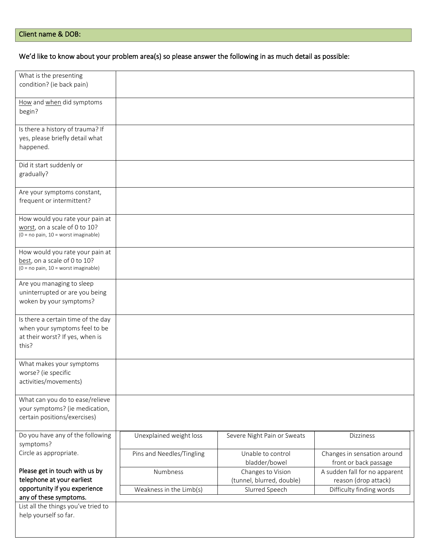## We'd like to know about your problem area(s) so please answer the following in as much detail as possible:

| What is the presenting<br>condition? (ie back pain) |                           |                             |                               |
|-----------------------------------------------------|---------------------------|-----------------------------|-------------------------------|
|                                                     |                           |                             |                               |
| How and when did symptoms                           |                           |                             |                               |
| begin?                                              |                           |                             |                               |
|                                                     |                           |                             |                               |
| Is there a history of trauma? If                    |                           |                             |                               |
| yes, please briefly detail what                     |                           |                             |                               |
| happened.                                           |                           |                             |                               |
|                                                     |                           |                             |                               |
| Did it start suddenly or                            |                           |                             |                               |
| gradually?                                          |                           |                             |                               |
|                                                     |                           |                             |                               |
| Are your symptoms constant,                         |                           |                             |                               |
| frequent or intermittent?                           |                           |                             |                               |
|                                                     |                           |                             |                               |
| How would you rate your pain at                     |                           |                             |                               |
| worst, on a scale of 0 to 10?                       |                           |                             |                               |
| $(0 = no pain, 10 = worst image,$                   |                           |                             |                               |
| How would you rate your pain at                     |                           |                             |                               |
| best, on a scale of 0 to 10?                        |                           |                             |                               |
| $(0 = no pain, 10 = worst image inable)$            |                           |                             |                               |
|                                                     |                           |                             |                               |
| Are you managing to sleep                           |                           |                             |                               |
| uninterrupted or are you being                      |                           |                             |                               |
| woken by your symptoms?                             |                           |                             |                               |
|                                                     |                           |                             |                               |
| Is there a certain time of the day                  |                           |                             |                               |
| when your symptoms feel to be                       |                           |                             |                               |
| at their worst? If yes, when is                     |                           |                             |                               |
| this?                                               |                           |                             |                               |
|                                                     |                           |                             |                               |
| What makes your symptoms                            |                           |                             |                               |
| worse? (ie specific                                 |                           |                             |                               |
| activities/movements)                               |                           |                             |                               |
|                                                     |                           |                             |                               |
| What can you do to ease/relieve                     |                           |                             |                               |
| your symptoms? (ie medication,                      |                           |                             |                               |
| certain positions/exercises)                        |                           |                             |                               |
|                                                     |                           |                             |                               |
| Do you have any of the following                    | Unexplained weight loss   | Severe Night Pain or Sweats | <b>Dizziness</b>              |
| symptoms?                                           |                           |                             |                               |
| Circle as appropriate.                              | Pins and Needles/Tingling | Unable to control           | Changes in sensation around   |
|                                                     |                           | bladder/bowel               | front or back passage         |
| Please get in touch with us by                      | Numbness                  | Changes to Vision           | A sudden fall for no apparent |
| telephone at your earliest                          |                           | (tunnel, blurred, double)   | reason (drop attack)          |
| opportunity if you experience                       | Weakness in the Limb(s)   | Slurred Speech              | Difficulty finding words      |
| any of these symptoms.                              |                           |                             |                               |
| List all the things you've tried to                 |                           |                             |                               |
| help yourself so far.                               |                           |                             |                               |
|                                                     |                           |                             |                               |
|                                                     |                           |                             |                               |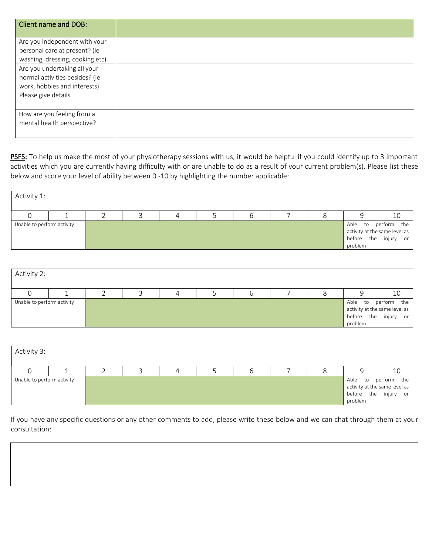| Client name and DOB:                                                                                                    |
|-------------------------------------------------------------------------------------------------------------------------|
| Are you independent with your<br>personal care at present? (ie<br>washing, dressing, cooking etc)                       |
| Are you undertaking all your<br>normal activities besides? (ie<br>work, hobbies and interests).<br>Please give details. |
| How are you feeling from a<br>mental health perspective?                                                                |

PSFS: To help us make the most of your physiotherapy sessions with us, it would be helpful if you could identify up to 3 important activities which you are currently having difficulty with or are unable to do as a result of your current problem(s). Please list these below and score your level of ability between 0 -10 by highlighting the number applicable:

| Activity 1:                |  |  |  |  |                                                                                         |    |
|----------------------------|--|--|--|--|-----------------------------------------------------------------------------------------|----|
|                            |  |  |  |  |                                                                                         | 10 |
| Unable to perform activity |  |  |  |  | Able to perform the<br>activity at the same level as<br>before the injury or<br>problem |    |

| Activity 2:                |  |  |   |  |                                                                                         |    |
|----------------------------|--|--|---|--|-----------------------------------------------------------------------------------------|----|
|                            |  |  | b |  |                                                                                         | 10 |
| Unable to perform activity |  |  |   |  | Able to perform the<br>activity at the same level as<br>before the injury or<br>problem |    |

| Activity 3:                |  |  |  |   |  |   |  |  |                                                                             |             |  |
|----------------------------|--|--|--|---|--|---|--|--|-----------------------------------------------------------------------------|-------------|--|
|                            |  |  |  | 4 |  | b |  |  |                                                                             | 10          |  |
| Unable to perform activity |  |  |  |   |  |   |  |  | Able to<br>activity at the same level as<br>before the injury or<br>problem | perform the |  |

If you have any specific questions or any other comments to add, please write these below and we can chat through them at your consultation: